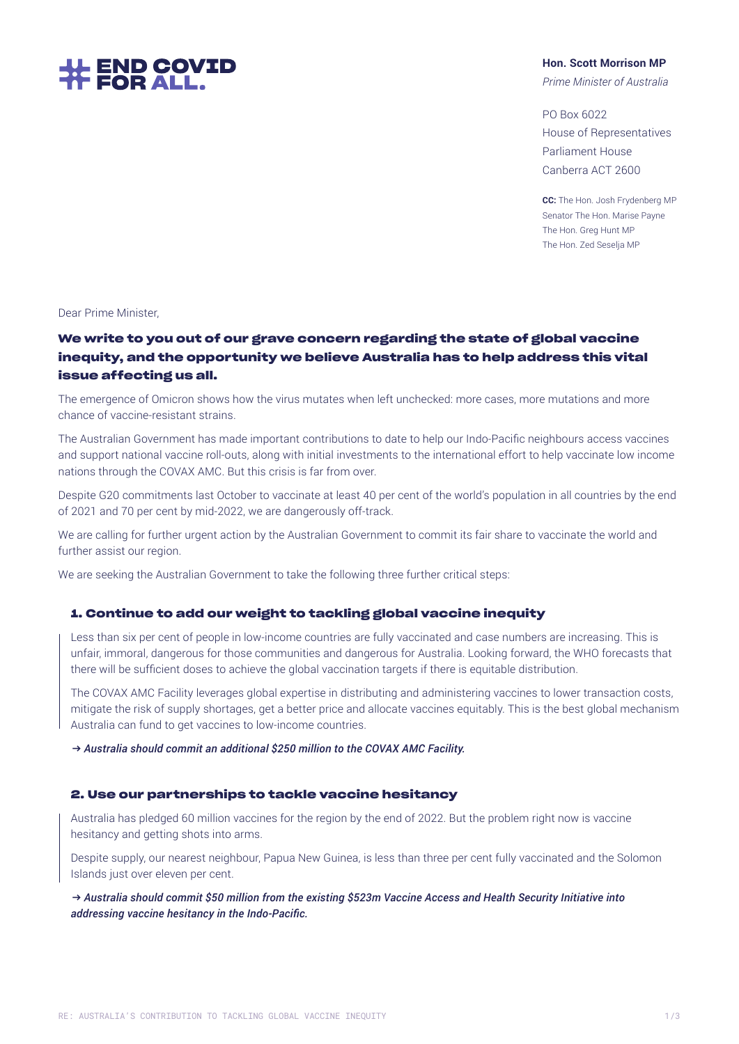

### **Hon. Scott Morrison MP**

*Prime Minister of Australia*

PO Box 6022 House of Representatives Parliament House Canberra ACT 2600

**CC:** The Hon. Josh Frydenberg MP Senator The Hon. Marise Payne The Hon. Greg Hunt MP The Hon. Zed Seselja MP

Dear Prime Minister,

# **We write to you out of our grave concern regarding the state of global vaccine inequity, and the opportunity we believe Australia has to help address this vital issue affecting us all.**

The emergence of Omicron shows how the virus mutates when left unchecked: more cases, more mutations and more chance of vaccine-resistant strains.

The Australian Government has made important contributions to date to help our Indo-Pacific neighbours access vaccines and support national vaccine roll-outs, along with initial investments to the international effort to help vaccinate low income nations through the COVAX AMC. But this crisis is far from over.

Despite G20 commitments last October to vaccinate at least 40 per cent of the world's population in all countries by the end of 2021 and 70 per cent by mid-2022, we are dangerously off-track.

We are calling for further urgent action by the Australian Government to commit its fair share to vaccinate the world and further assist our region.

We are seeking the Australian Government to take the following three further critical steps:

# **1. Continue to add our weight to tackling global vaccine inequity**

Less than six per cent of people in low-income countries are fully vaccinated and case numbers are increasing. This is unfair, immoral, dangerous for those communities and dangerous for Australia. Looking forward, the WHO forecasts that there will be sufficient doses to achieve the global vaccination targets if there is equitable distribution.

The COVAX AMC Facility leverages global expertise in distributing and administering vaccines to lower transaction costs, mitigate the risk of supply shortages, get a better price and allocate vaccines equitably. This is the best global mechanism Australia can fund to get vaccines to low-income countries.

**→** *Australia should commit an additional \$250 million to the COVAX AMC Facility.*

# **2. Use our partnerships to tackle vaccine hesitancy**

Australia has pledged 60 million vaccines for the region by the end of 2022. But the problem right now is vaccine hesitancy and getting shots into arms.

Despite supply, our nearest neighbour, Papua New Guinea, is less than three per cent fully vaccinated and the Solomon Islands just over eleven per cent.

**→** *Australia should commit \$50 million from the existing \$523m Vaccine Access and Health Security Initiative into addressing vaccine hesitancy in the Indo-Pacific.*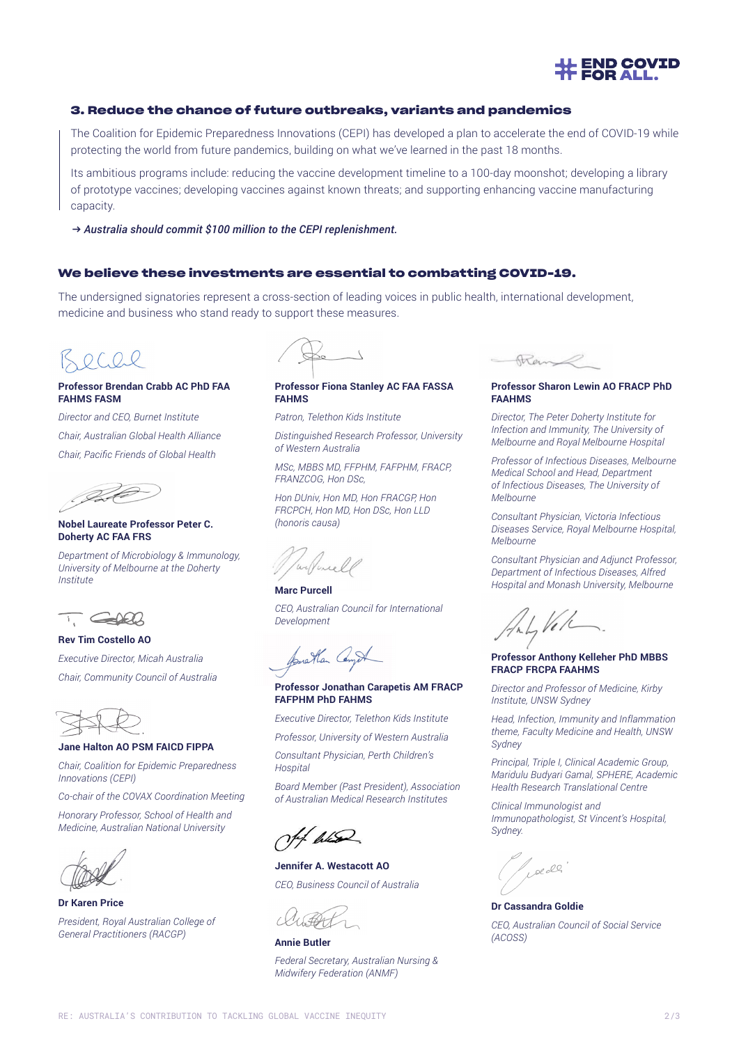

## **3. Reduce the chance of future outbreaks, variants and pandemics**

The Coalition for Epidemic Preparedness Innovations (CEPI) has developed a plan to accelerate the end of COVID-19 while protecting the world from future pandemics, building on what we've learned in the past 18 months.

Its ambitious programs include: reducing the vaccine development timeline to a 100-day moonshot; developing a library of prototype vaccines; developing vaccines against known threats; and supporting enhancing vaccine manufacturing capacity.

**→** *Australia should commit \$100 million to the CEPI replenishment.* 

## **We believe these investments are essential to combatting COVID-19.**

The undersigned signatories represent a cross-section of leading voices in public health, international development, medicine and business who stand ready to support these measures.

 $OCQ2$ 

#### **Professor Brendan Crabb AC PhD FAA FAHMS FASM**

*Director and CEO, Burnet Institute Chair, Australian Global Health Alliance Chair, Pacific Friends of Global Health*



#### **Nobel Laureate Professor Peter C. Doherty AC FAA FRS**

*Department of Microbiology & Immunology, University of Melbourne at the Doherty Institute*



**Rev Tim Costello AO**

*Executive Director, Micah Australia Chair, Community Council of Australia*

#### **Jane Halton AO PSM FAICD FIPPA**

*Chair, Coalition for Epidemic Preparedness Innovations (CEPI)*

*Co-chair of the COVAX Coordination Meeting*

*Honorary Professor, School of Health and Medicine, Australian National University*



**Dr Karen Price** *President, Royal Australian College of General Practitioners (RACGP)* **Annie Butler**

#### **Professor Fiona Stanley AC FAA FASSA FAHMS**

*Patron, Telethon Kids Institute*

*Distinguished Research Professor, University of Western Australia*

*MSc, MBBS MD, FFPHM, FAFPHM, FRACP, FRANZCOG, Hon DSc,*

*Hon DUniv, Hon MD, Hon FRACGP, Hon FRCPCH, Hon MD, Hon DSc, Hon LLD (honoris causa)*

**Marc Purcell**

*CEO, Australian Council for International Development* 

forathan Compt

#### **Professor Jonathan Carapetis AM FRACP FAFPHM PhD FAHMS**

*Executive Director, Telethon Kids Institute*

*Professor, University of Western Australia*

*Consultant Physician, Perth Children's Hospital*

*Board Member (Past President), Association of Australian Medical Research Institutes*

Jef hund

**Jennifer A. Westacott AO** *CEO, Business Council of Australia*

*Federal Secretary, Australian Nursing & Midwifery Federation (ANMF)*



#### **Professor Sharon Lewin AO FRACP PhD FAAHMS**

*Director, The Peter Doherty Institute for Infection and Immunity, The University of Melbourne and Royal Melbourne Hospital*

*Professor of Infectious Diseases, Melbourne Medical School and Head, Department of Infectious Diseases, The University of Melbourne* 

*Consultant Physician, Victoria Infectious Diseases Service, Royal Melbourne Hospital, Melbourne*

*Consultant Physician and Adjunct Professor, Department of Infectious Diseases, Alfred Hospital and Monash University, Melbourne*

.Ver

#### **Professor Anthony Kelleher PhD MBBS FRACP FRCPA FAAHMS**

*Director and Professor of Medicine, Kirby Institute, UNSW Sydney* 

*Head, Infection, Immunity and Inflammation theme, Faculty Medicine and Health, UNSW Sydney*

*Principal, Triple I, Clinical Academic Group, Maridulu Budyari Gamal, SPHERE, Academic Health Research Translational Centre*

*Clinical Immunologist and Immunopathologist, St Vincent's Hospital, Sydney.*

Loe de

**Dr Cassandra Goldie** *CEO, Australian Council of Social Service (ACOSS)*